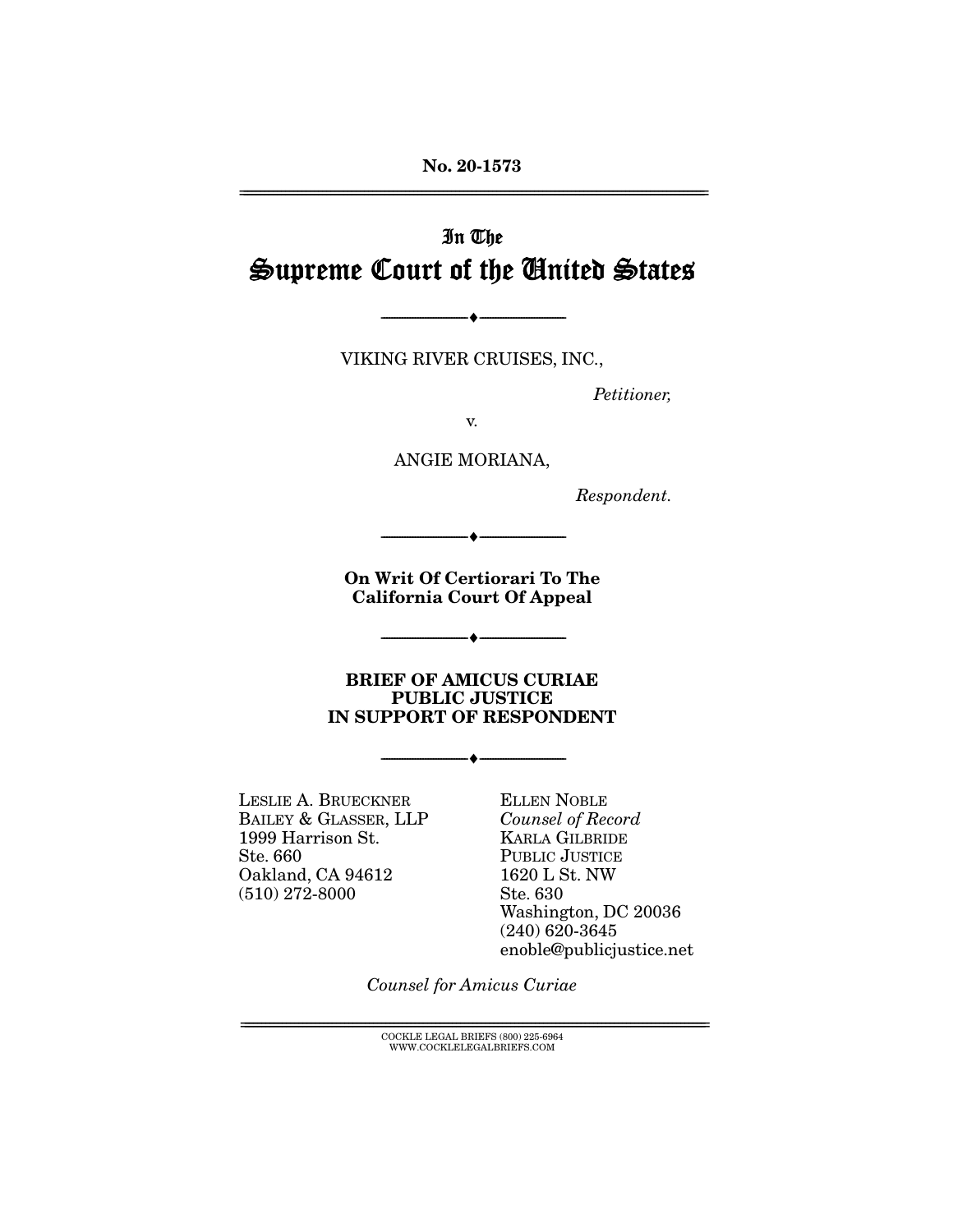**No. 20-1573**  ================================================================================================================

# In The Supreme Court of the United States

VIKING RIVER CRUISES, INC.,

--------------------------------- ♦ ---------------------------------

Petitioner,

v.

ANGIE MORIANA,

Respondent.

**On Writ Of Certiorari To The California Court Of Appeal** 

--------------------------------- ♦ ---------------------------------

--------------------------------- ♦ ---------------------------------

**BRIEF OF AMICUS CURIAE PUBLIC JUSTICE IN SUPPORT OF RESPONDENT** 

--------------------------------- ♦ ---------------------------------

LESLIE A. BRUECKNER BAILEY & GLASSER, LLP 1999 Harrison St. Ste. 660 Oakland, CA 94612 (510) 272-8000

ELLEN NOBLE Counsel of Record KARLA GILBRIDE PUBLIC JUSTICE 1620 L St. NW Ste. 630 Washington, DC 20036 (240) 620-3645 enoble@publicjustice.net

Counsel for Amicus Curiae

 ${COCKLE}$  LEGAL BRIEFS (800) 225-6964 WWW.COCKLELEGALBRIEFS.COM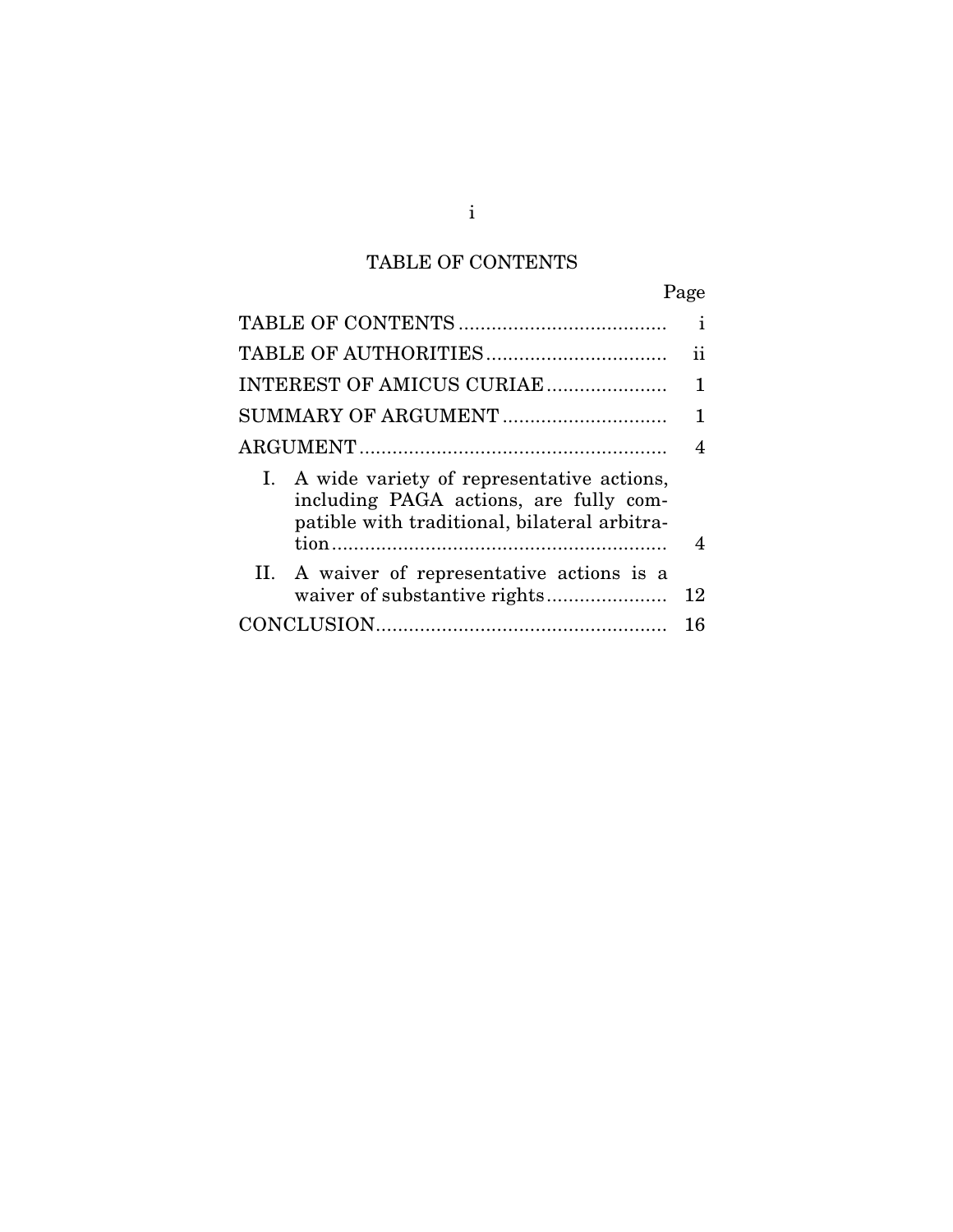# TABLE OF CONTENTS

|--|

|                                                                                                                                        | i  |
|----------------------------------------------------------------------------------------------------------------------------------------|----|
|                                                                                                                                        | ij |
| INTEREST OF AMICUS CURIAE                                                                                                              | 1  |
| SUMMARY OF ARGUMENT                                                                                                                    | 1  |
|                                                                                                                                        | 4  |
| I. A wide variety of representative actions,<br>including PAGA actions, are fully com-<br>patible with traditional, bilateral arbitra- | 4  |
| II. A waiver of representative actions is a                                                                                            | 12 |
|                                                                                                                                        | 16 |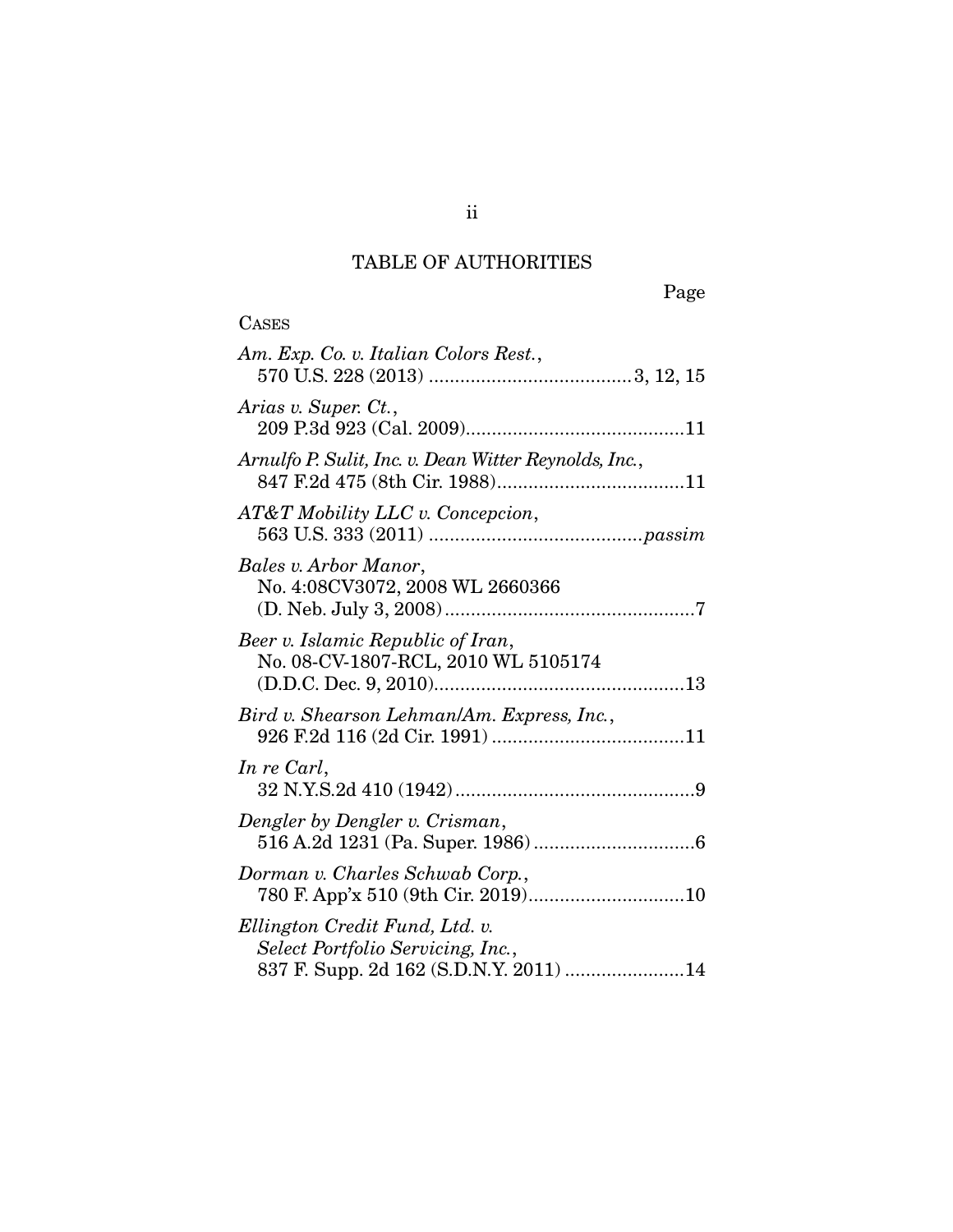# TABLE OF AUTHORITIES

| <b>CASES</b>                                                                                                  |
|---------------------------------------------------------------------------------------------------------------|
| Am. Exp. Co. v. Italian Colors Rest.,                                                                         |
| Arias v. Super. Ct.,                                                                                          |
| Arnulfo P. Sulit, Inc. v. Dean Witter Reynolds, Inc.,                                                         |
| AT&T Mobility LLC v. Concepcion,                                                                              |
| Bales v. Arbor Manor,<br>No. 4:08CV3072, 2008 WL 2660366                                                      |
| Beer v. Islamic Republic of Iran,<br>No. 08-CV-1807-RCL, 2010 WL 5105174                                      |
| Bird v. Shearson Lehman/Am. Express, Inc.,                                                                    |
| In re Carl,                                                                                                   |
| Dengler by Dengler v. Crisman,                                                                                |
| Dorman v. Charles Schwab Corp.,<br>780 F. App'x 510 (9th Cir. 2019)10                                         |
| Ellington Credit Fund, Ltd. v.<br>Select Portfolio Servicing, Inc.,<br>837 F. Supp. 2d 162 (S.D.N.Y. 2011) 14 |

ii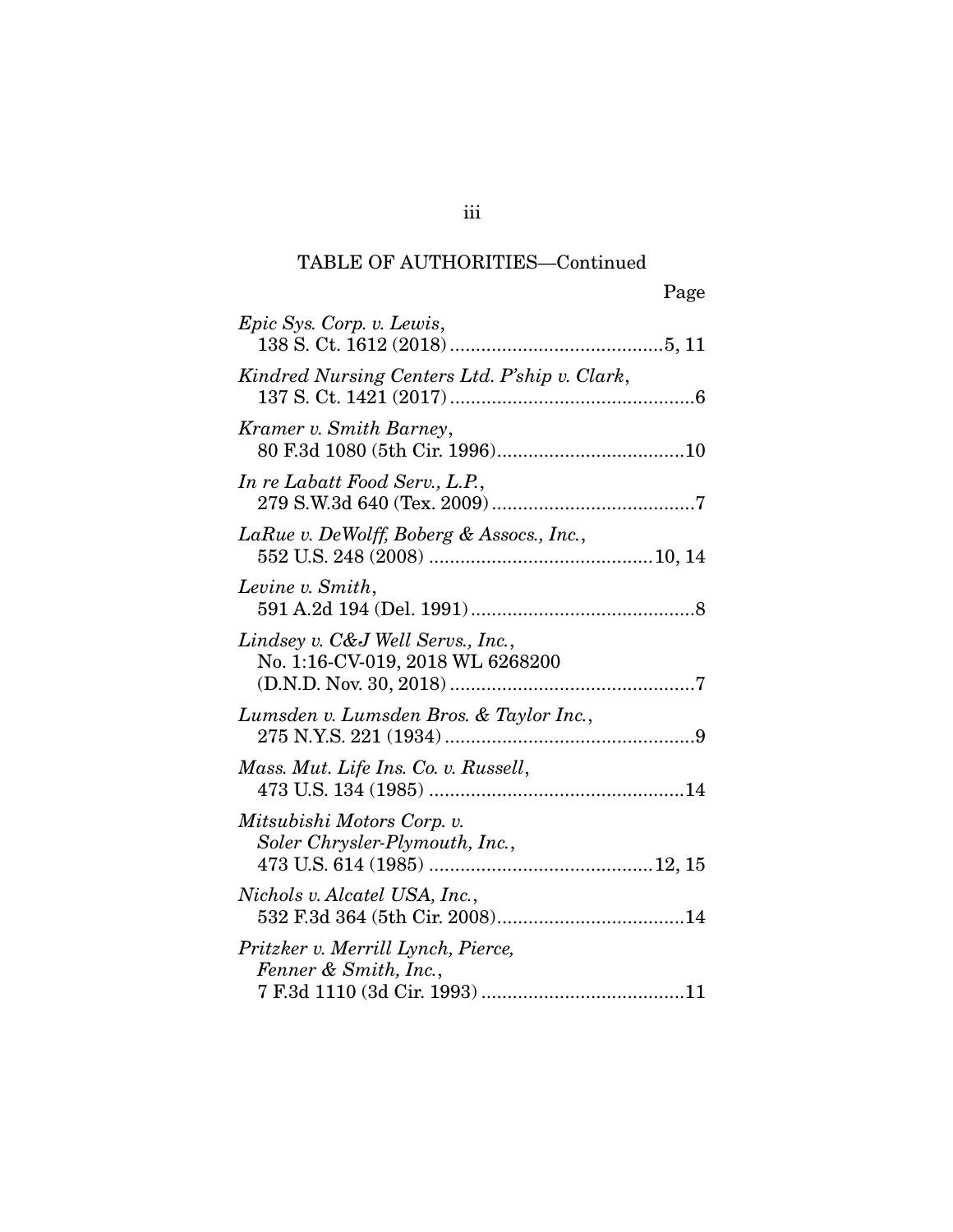## TABLE OF AUTHORITIES—Continued

|                                                                       | Page |
|-----------------------------------------------------------------------|------|
| Epic Sys. Corp. v. Lewis,                                             |      |
| Kindred Nursing Centers Ltd. P'ship v. Clark,                         |      |
| Kramer v. Smith Barney,                                               |      |
| In re Labatt Food Serv., L.P.,                                        |      |
| LaRue v. DeWolff, Boberg & Assocs., Inc.,                             |      |
| Levine v. Smith,                                                      |      |
| Lindsey v. C&J Well Servs., Inc.,<br>No. 1:16-CV-019, 2018 WL 6268200 |      |
| Lumsden v. Lumsden Bros. & Taylor Inc.,                               |      |
| Mass. Mut. Life Ins. Co. v. Russell,                                  |      |
| Mitsubishi Motors Corp. v.<br>Soler Chrysler-Plymouth, Inc.,          |      |
| Nichols v. Alcatel USA, Inc.,                                         |      |
| Pritzker v. Merrill Lynch, Pierce,<br>Fenner & Smith, Inc.,           |      |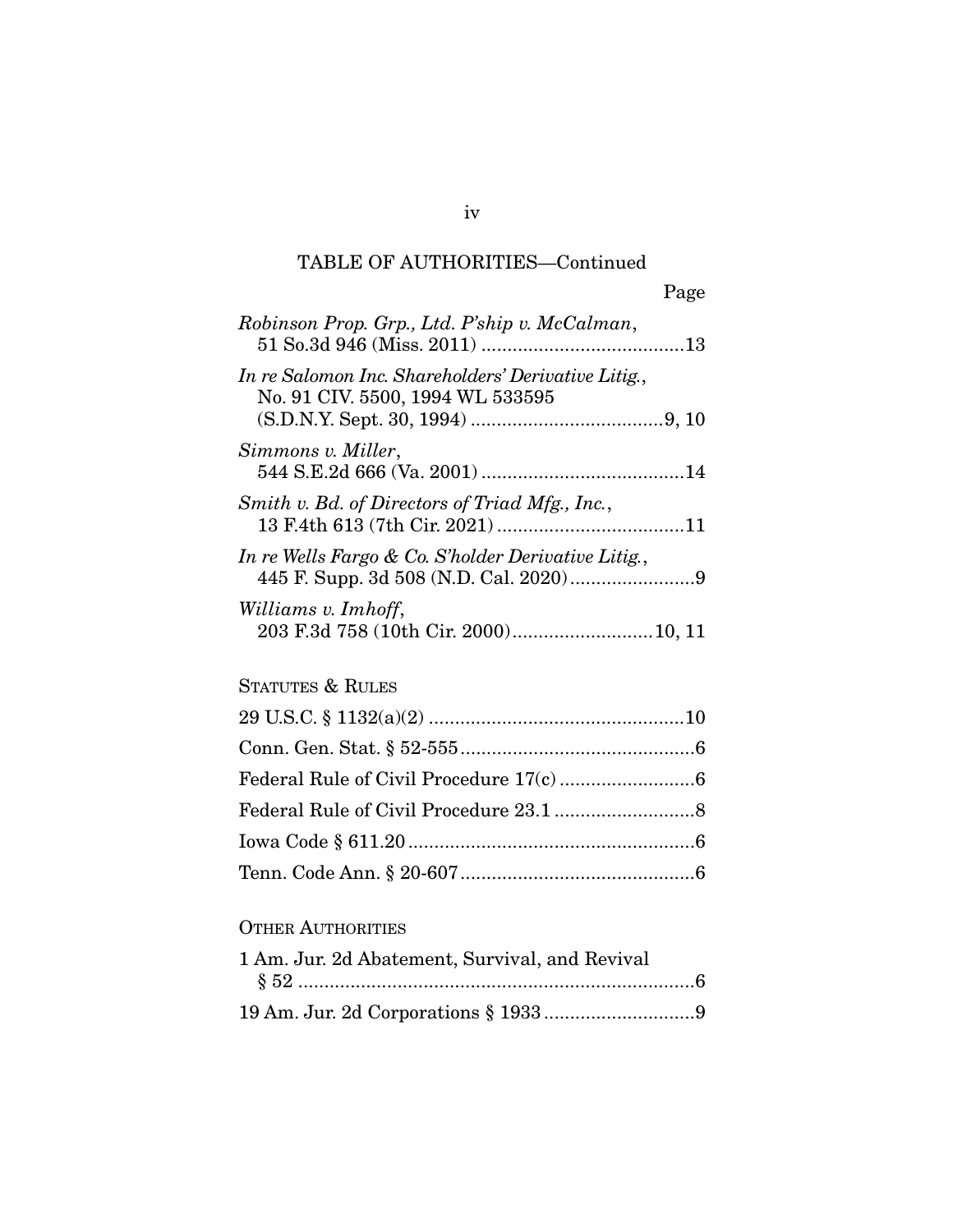## TABLE OF AUTHORITIES—Continued

| Robinson Prop. Grp., Ltd. P'ship v. McCalman,                                           |  |
|-----------------------------------------------------------------------------------------|--|
| In re Salomon Inc. Shareholders' Derivative Litig.,<br>No. 91 CIV. 5500, 1994 WL 533595 |  |
| Simmons v. Miller,                                                                      |  |
| Smith v. Bd. of Directors of Triad Mfg., Inc.,                                          |  |
| In re Wells Fargo & Co. S'holder Derivative Litig.,                                     |  |
| Williams v. Imhoff,                                                                     |  |

## STATUTES & RULES

### OTHER AUTHORITIES

| 1 Am. Jur. 2d Abatement, Survival, and Revival |
|------------------------------------------------|
|                                                |
|                                                |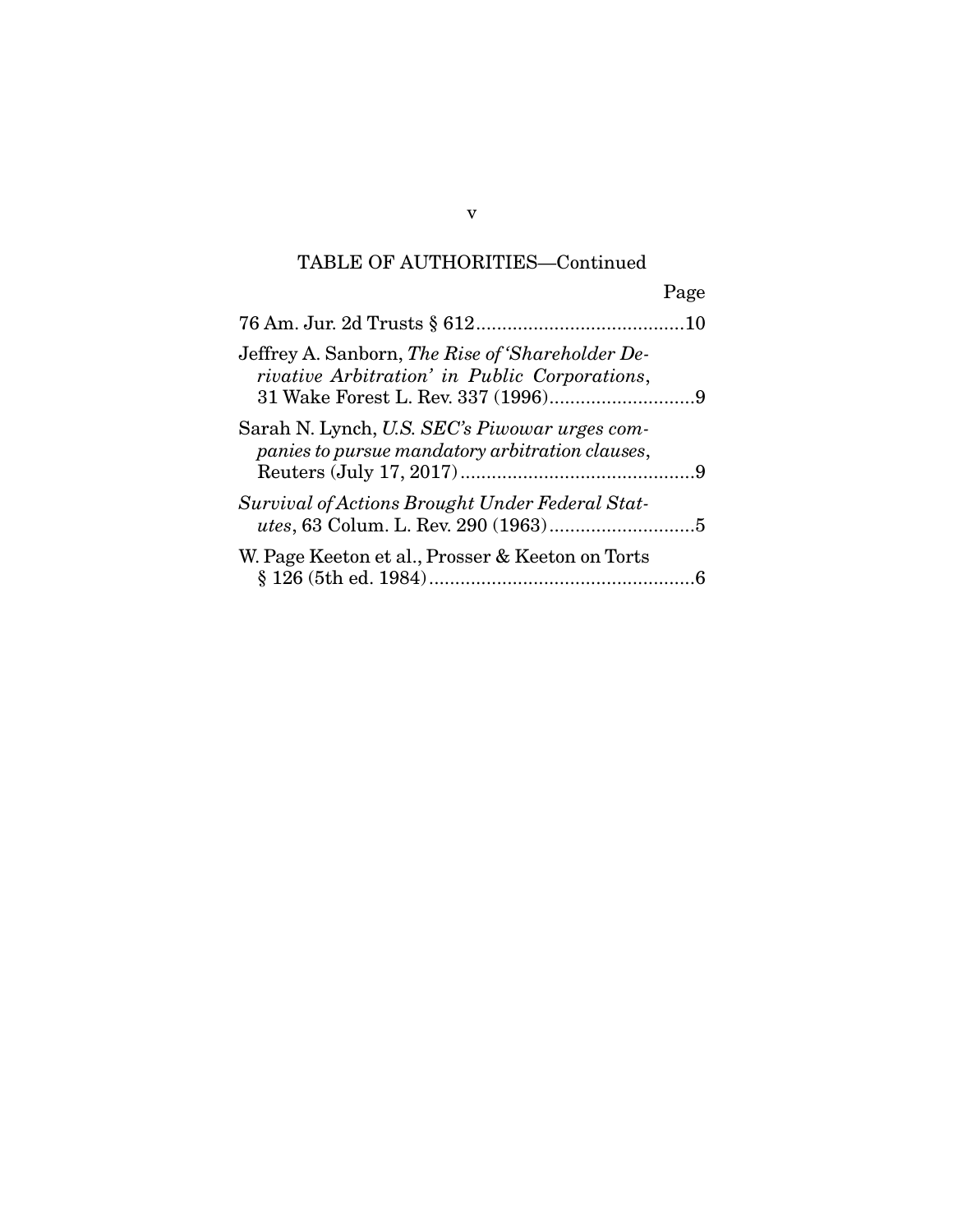# TABLE OF AUTHORITIES—Continued

|                                                                                                   | Page |
|---------------------------------------------------------------------------------------------------|------|
|                                                                                                   |      |
| Jeffrey A. Sanborn, The Rise of 'Shareholder De-<br>rivative Arbitration' in Public Corporations, |      |
| Sarah N. Lynch, U.S. SEC's Piwowar urges com-<br>panies to pursue mandatory arbitration clauses,  |      |
| Survival of Actions Brought Under Federal Stat-                                                   |      |
| W. Page Keeton et al., Prosser & Keeton on Torts                                                  |      |

v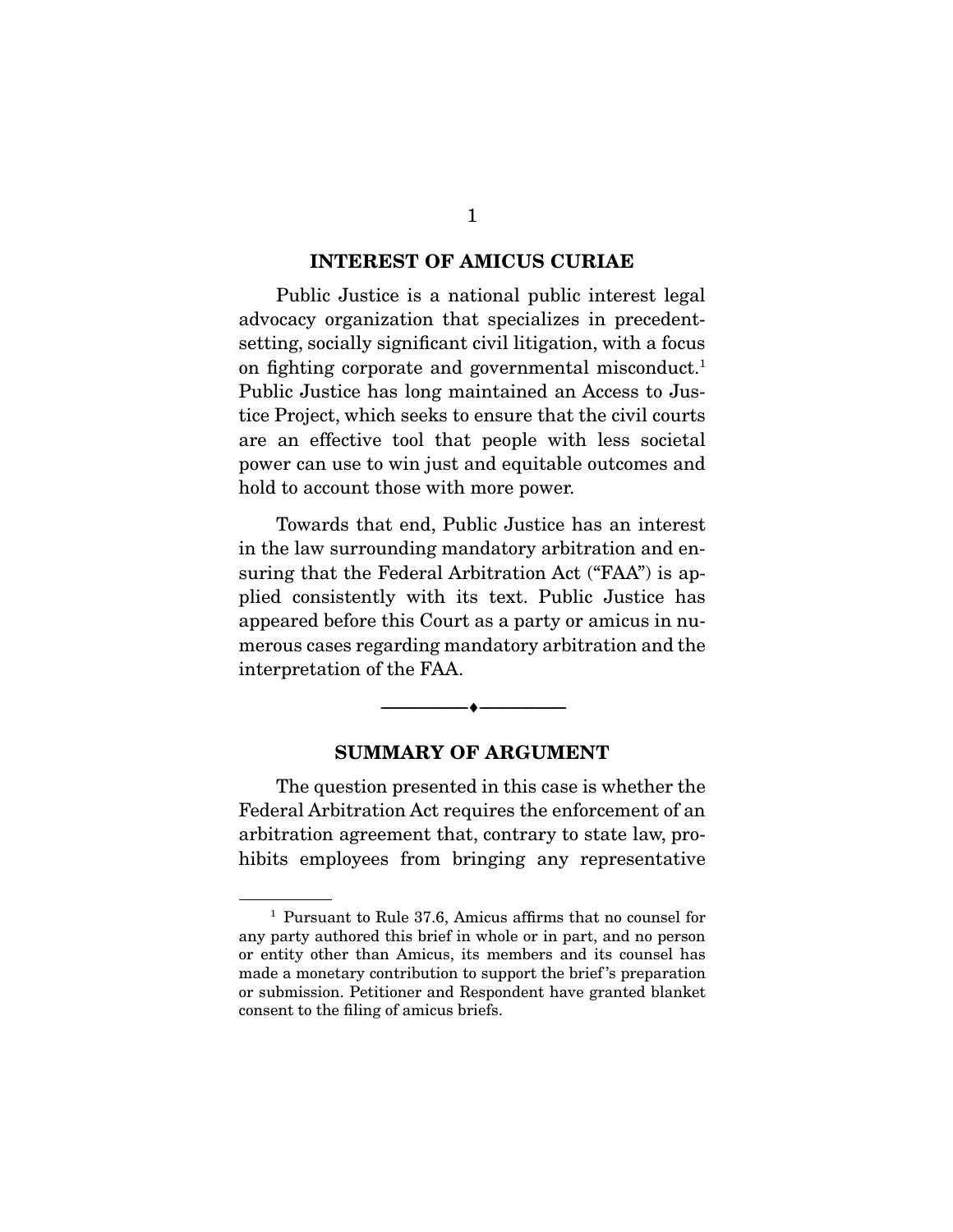#### **INTEREST OF AMICUS CURIAE**

 Public Justice is a national public interest legal advocacy organization that specializes in precedentsetting, socially significant civil litigation, with a focus on fighting corporate and governmental misconduct.<sup>1</sup> Public Justice has long maintained an Access to Justice Project, which seeks to ensure that the civil courts are an effective tool that people with less societal power can use to win just and equitable outcomes and hold to account those with more power.

 Towards that end, Public Justice has an interest in the law surrounding mandatory arbitration and ensuring that the Federal Arbitration Act ("FAA") is applied consistently with its text. Public Justice has appeared before this Court as a party or amicus in numerous cases regarding mandatory arbitration and the interpretation of the FAA.

#### **SUMMARY OF ARGUMENT**

--------------------------------- ♦ ---------------------------------

 The question presented in this case is whether the Federal Arbitration Act requires the enforcement of an arbitration agreement that, contrary to state law, prohibits employees from bringing any representative

<sup>1</sup> Pursuant to Rule 37.6, Amicus affirms that no counsel for any party authored this brief in whole or in part, and no person or entity other than Amicus, its members and its counsel has made a monetary contribution to support the brief 's preparation or submission. Petitioner and Respondent have granted blanket consent to the filing of amicus briefs.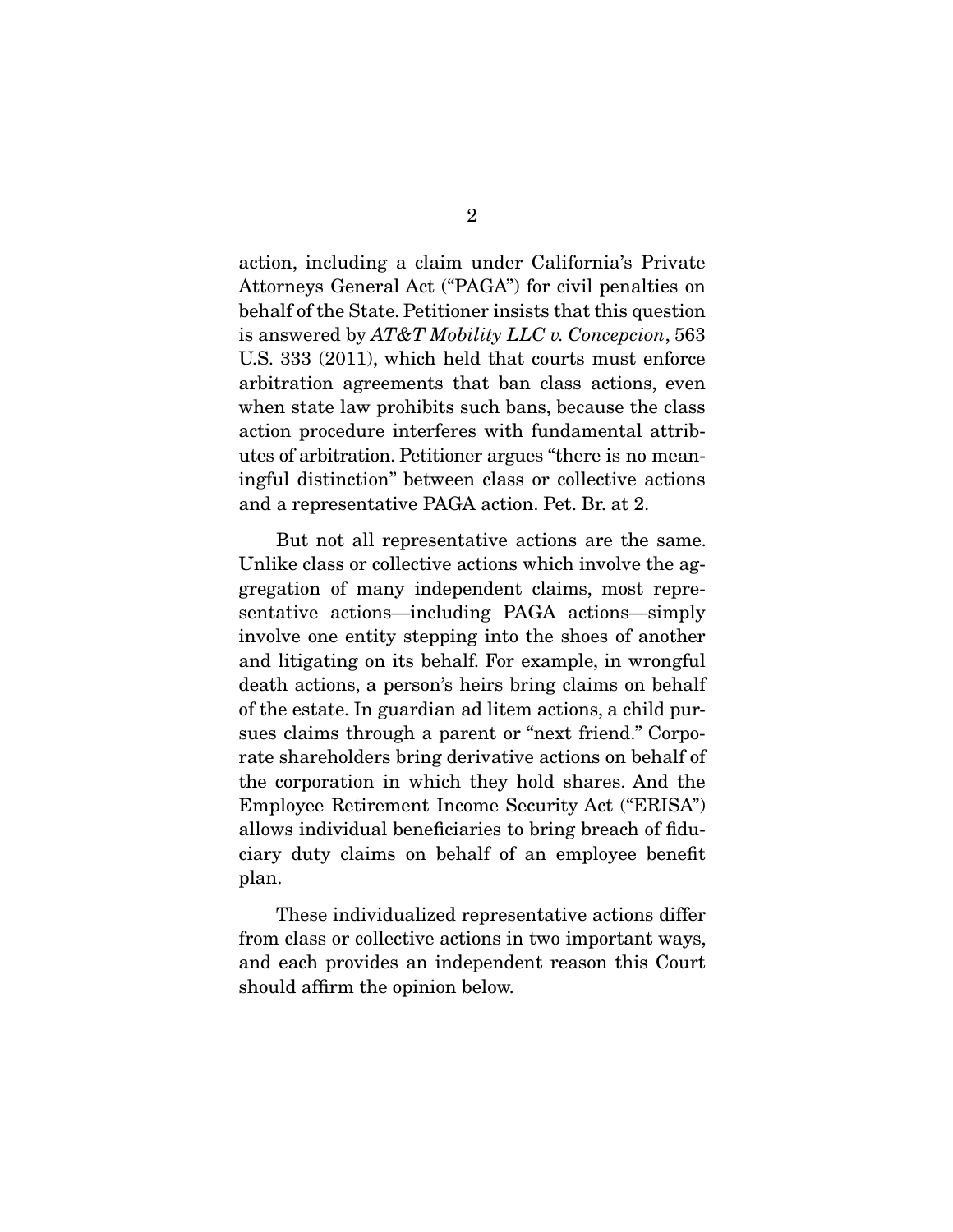action, including a claim under California's Private Attorneys General Act ("PAGA") for civil penalties on behalf of the State. Petitioner insists that this question is answered by *AT&T Mobility LLC v. Concepcion*, 563 U.S. 333 (2011), which held that courts must enforce arbitration agreements that ban class actions, even when state law prohibits such bans, because the class action procedure interferes with fundamental attributes of arbitration. Petitioner argues "there is no meaningful distinction" between class or collective actions and a representative PAGA action. Pet. Br. at 2.

 But not all representative actions are the same. Unlike class or collective actions which involve the aggregation of many independent claims, most representative actions—including PAGA actions—simply involve one entity stepping into the shoes of another and litigating on its behalf. For example, in wrongful death actions, a person's heirs bring claims on behalf of the estate. In guardian ad litem actions, a child pursues claims through a parent or "next friend." Corporate shareholders bring derivative actions on behalf of the corporation in which they hold shares. And the Employee Retirement Income Security Act ("ERISA") allows individual beneficiaries to bring breach of fiduciary duty claims on behalf of an employee benefit plan.

 These individualized representative actions differ from class or collective actions in two important ways, and each provides an independent reason this Court should affirm the opinion below.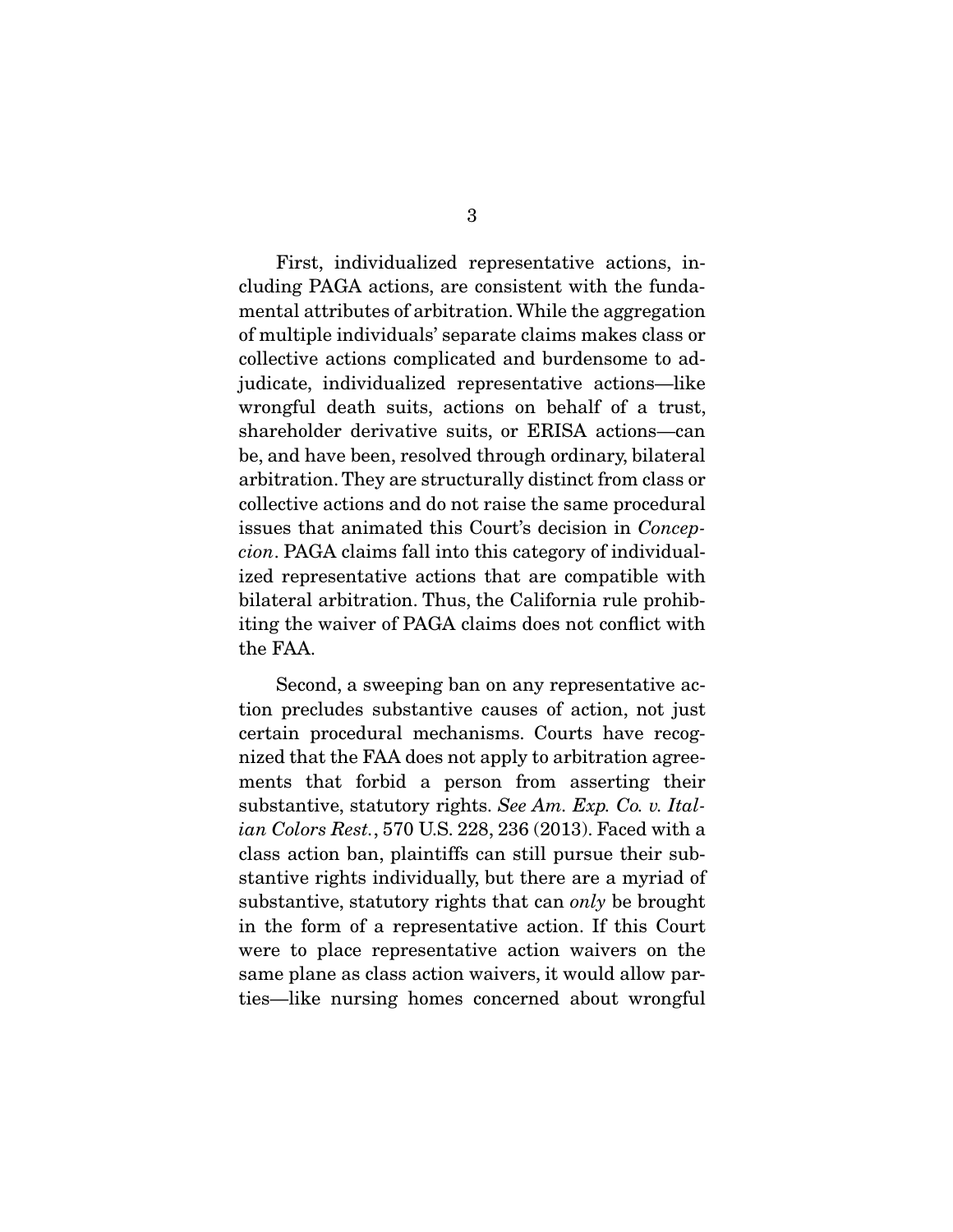First, individualized representative actions, including PAGA actions, are consistent with the fundamental attributes of arbitration. While the aggregation of multiple individuals' separate claims makes class or collective actions complicated and burdensome to adjudicate, individualized representative actions—like wrongful death suits, actions on behalf of a trust, shareholder derivative suits, or ERISA actions—can be, and have been, resolved through ordinary, bilateral arbitration. They are structurally distinct from class or collective actions and do not raise the same procedural issues that animated this Court's decision in *Concepcion*. PAGA claims fall into this category of individualized representative actions that are compatible with bilateral arbitration. Thus, the California rule prohibiting the waiver of PAGA claims does not conflict with the FAA.

 Second, a sweeping ban on any representative action precludes substantive causes of action, not just certain procedural mechanisms. Courts have recognized that the FAA does not apply to arbitration agreements that forbid a person from asserting their substantive, statutory rights. *See Am. Exp. Co. v. Italian Colors Rest.*, 570 U.S. 228, 236 (2013). Faced with a class action ban, plaintiffs can still pursue their substantive rights individually, but there are a myriad of substantive, statutory rights that can *only* be brought in the form of a representative action. If this Court were to place representative action waivers on the same plane as class action waivers, it would allow parties—like nursing homes concerned about wrongful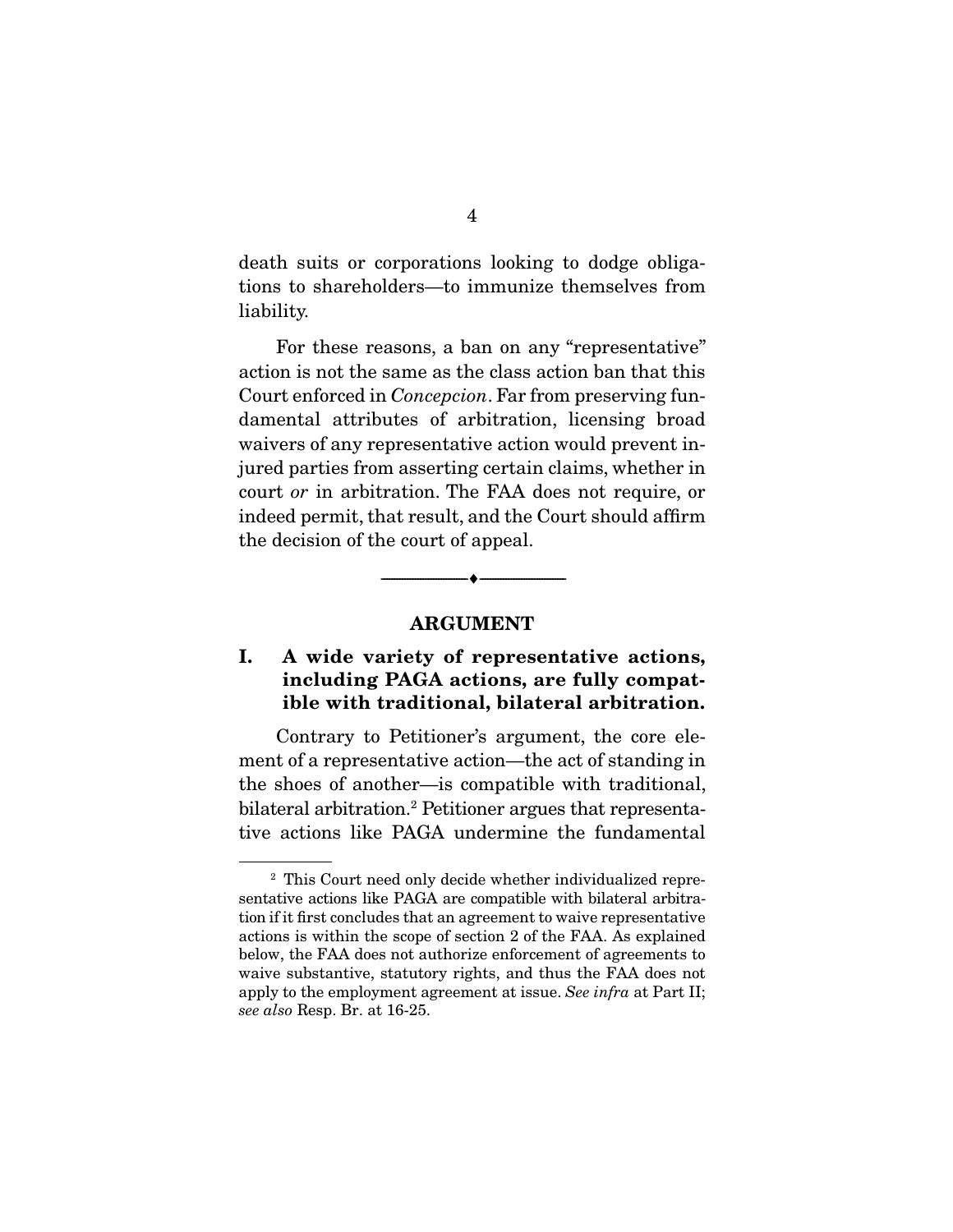death suits or corporations looking to dodge obligations to shareholders—to immunize themselves from liability.

 For these reasons, a ban on any "representative" action is not the same as the class action ban that this Court enforced in *Concepcion*. Far from preserving fundamental attributes of arbitration, licensing broad waivers of any representative action would prevent injured parties from asserting certain claims, whether in court *or* in arbitration. The FAA does not require, or indeed permit, that result, and the Court should affirm the decision of the court of appeal.

#### **ARGUMENT**

--------------------------------- ♦ ---------------------------------

### **I. A wide variety of representative actions, including PAGA actions, are fully compatible with traditional, bilateral arbitration.**

 Contrary to Petitioner's argument, the core element of a representative action—the act of standing in the shoes of another—is compatible with traditional, bilateral arbitration.2 Petitioner argues that representative actions like PAGA undermine the fundamental

<sup>2</sup> This Court need only decide whether individualized representative actions like PAGA are compatible with bilateral arbitration if it first concludes that an agreement to waive representative actions is within the scope of section 2 of the FAA. As explained below, the FAA does not authorize enforcement of agreements to waive substantive, statutory rights, and thus the FAA does not apply to the employment agreement at issue. *See infra* at Part II; *see also* Resp. Br. at 16-25.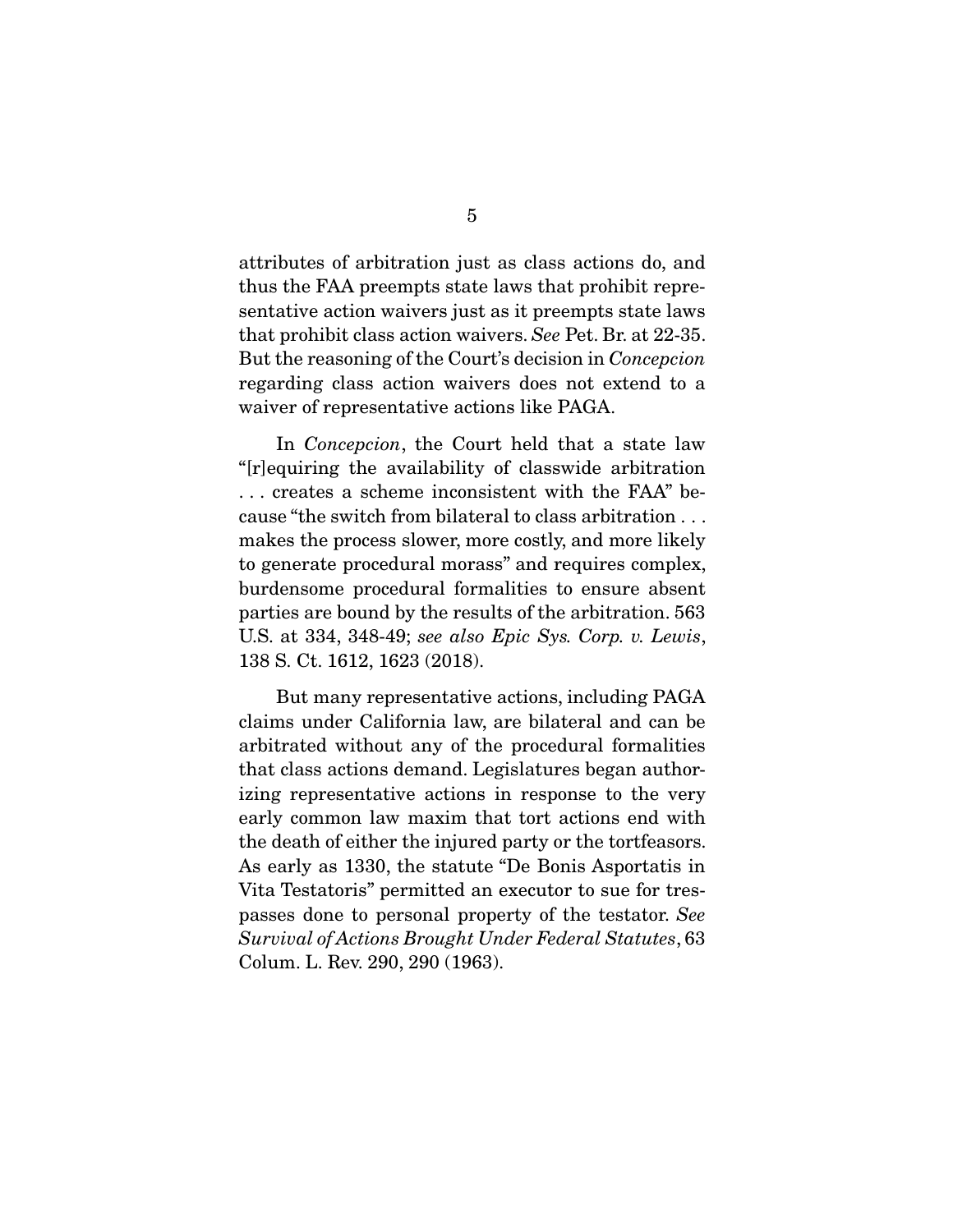attributes of arbitration just as class actions do, and thus the FAA preempts state laws that prohibit representative action waivers just as it preempts state laws that prohibit class action waivers. *See* Pet. Br. at 22-35. But the reasoning of the Court's decision in *Concepcion*  regarding class action waivers does not extend to a waiver of representative actions like PAGA.

 In *Concepcion*, the Court held that a state law "[r]equiring the availability of classwide arbitration . . . creates a scheme inconsistent with the FAA" because "the switch from bilateral to class arbitration . . . makes the process slower, more costly, and more likely to generate procedural morass" and requires complex, burdensome procedural formalities to ensure absent parties are bound by the results of the arbitration. 563 U.S. at 334, 348-49; *see also Epic Sys. Corp. v. Lewis*, 138 S. Ct. 1612, 1623 (2018).

 But many representative actions, including PAGA claims under California law, are bilateral and can be arbitrated without any of the procedural formalities that class actions demand. Legislatures began authorizing representative actions in response to the very early common law maxim that tort actions end with the death of either the injured party or the tortfeasors. As early as 1330, the statute "De Bonis Asportatis in Vita Testatoris" permitted an executor to sue for trespasses done to personal property of the testator. *See Survival of Actions Brought Under Federal Statutes*, 63 Colum. L. Rev. 290, 290 (1963).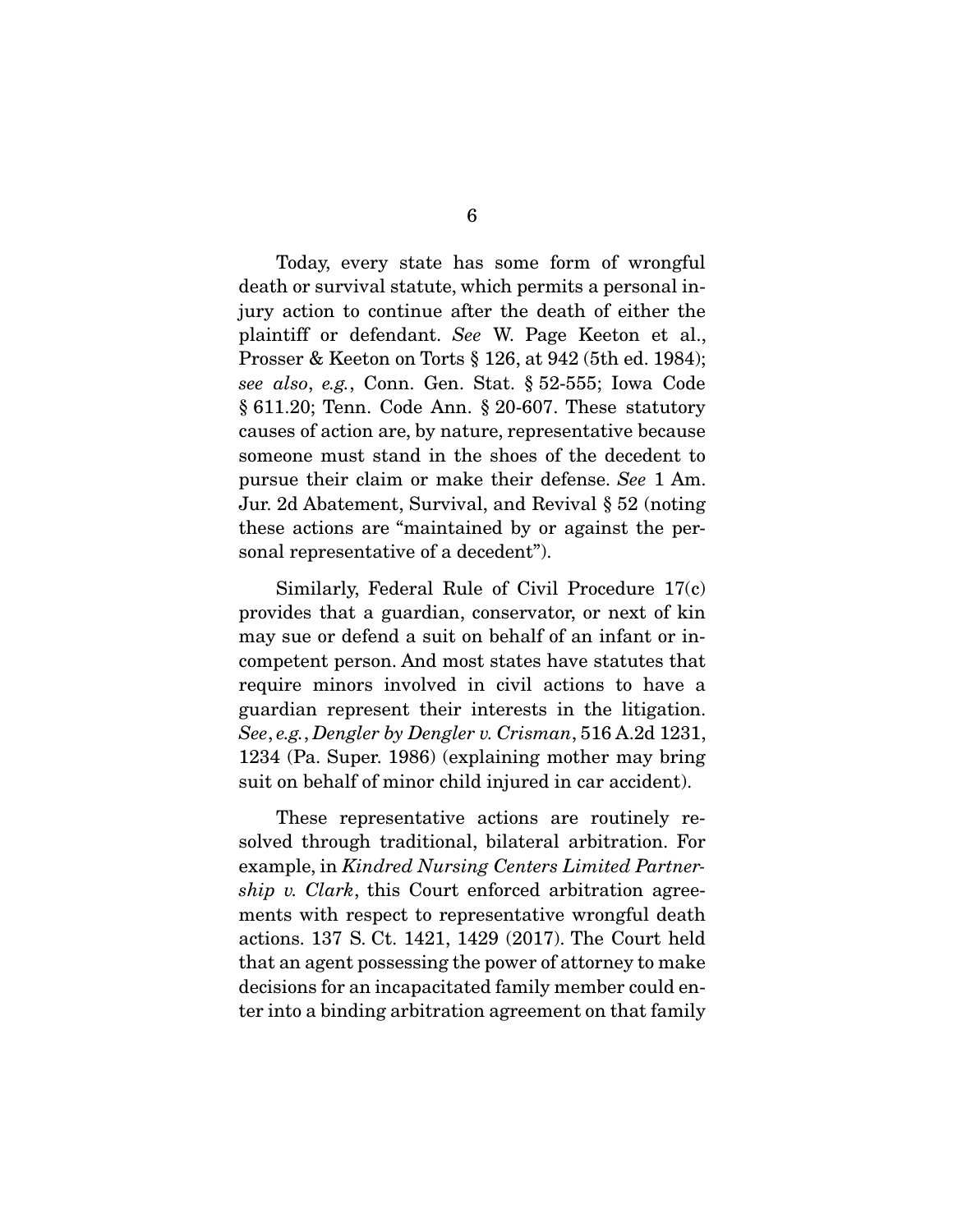Today, every state has some form of wrongful death or survival statute, which permits a personal injury action to continue after the death of either the plaintiff or defendant. *See* W. Page Keeton et al., Prosser & Keeton on Torts § 126, at 942 (5th ed. 1984); *see also*, *e.g.*, Conn. Gen. Stat. § 52-555; Iowa Code § 611.20; Tenn. Code Ann. § 20-607. These statutory causes of action are, by nature, representative because someone must stand in the shoes of the decedent to pursue their claim or make their defense. *See* 1 Am. Jur. 2d Abatement, Survival, and Revival § 52 (noting these actions are "maintained by or against the personal representative of a decedent").

 Similarly, Federal Rule of Civil Procedure 17(c) provides that a guardian, conservator, or next of kin may sue or defend a suit on behalf of an infant or incompetent person. And most states have statutes that require minors involved in civil actions to have a guardian represent their interests in the litigation. *See*, *e.g.*, *Dengler by Dengler v. Crisman*, 516 A.2d 1231, 1234 (Pa. Super. 1986) (explaining mother may bring suit on behalf of minor child injured in car accident).

 These representative actions are routinely resolved through traditional, bilateral arbitration. For example, in *Kindred Nursing Centers Limited Partnership v. Clark*, this Court enforced arbitration agreements with respect to representative wrongful death actions. 137 S. Ct. 1421, 1429 (2017). The Court held that an agent possessing the power of attorney to make decisions for an incapacitated family member could enter into a binding arbitration agreement on that family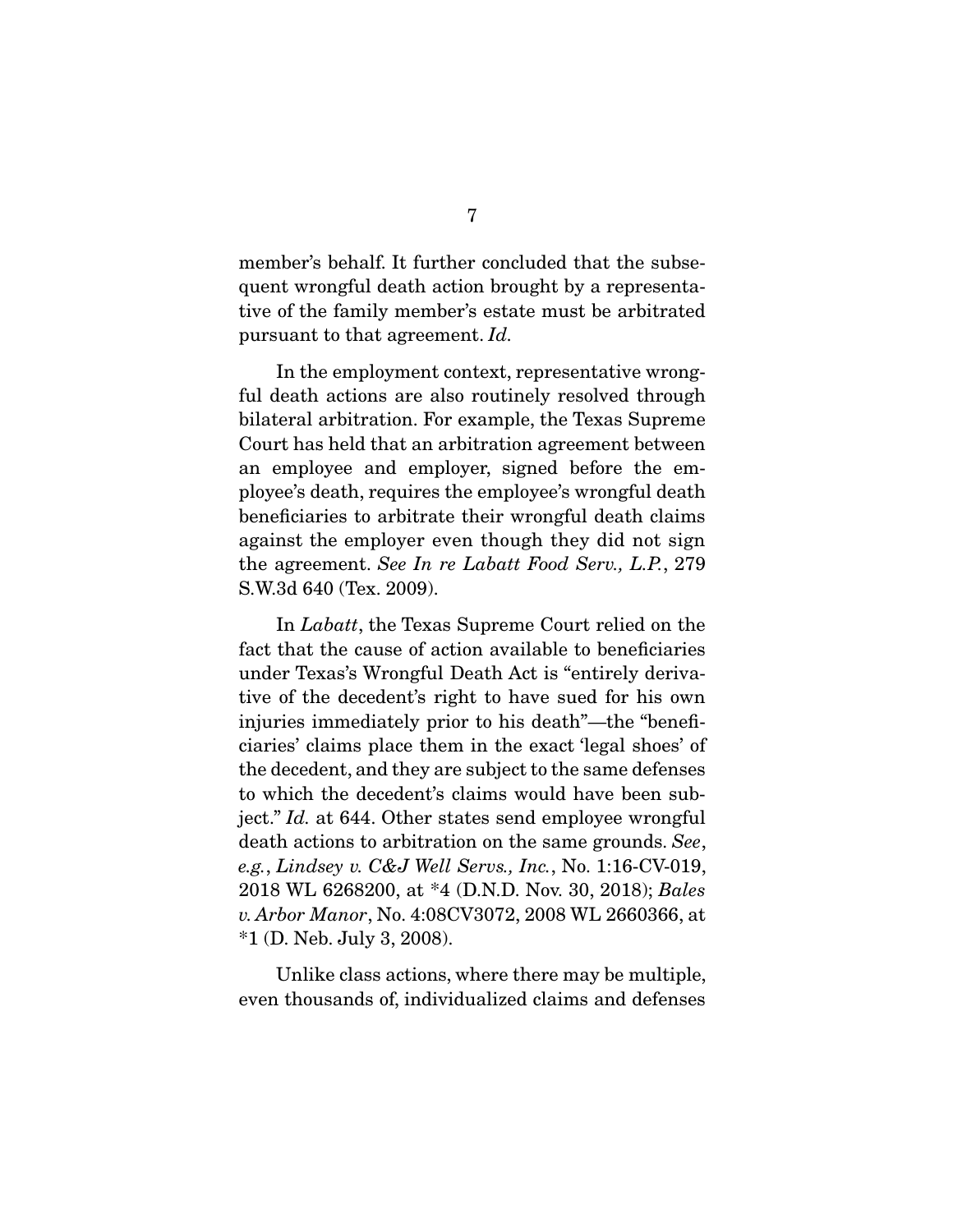member's behalf. It further concluded that the subsequent wrongful death action brought by a representative of the family member's estate must be arbitrated pursuant to that agreement. *Id.*

 In the employment context, representative wrongful death actions are also routinely resolved through bilateral arbitration. For example, the Texas Supreme Court has held that an arbitration agreement between an employee and employer, signed before the employee's death, requires the employee's wrongful death beneficiaries to arbitrate their wrongful death claims against the employer even though they did not sign the agreement. *See In re Labatt Food Serv., L.P.*, 279 S.W.3d 640 (Tex. 2009).

 In *Labatt*, the Texas Supreme Court relied on the fact that the cause of action available to beneficiaries under Texas's Wrongful Death Act is "entirely derivative of the decedent's right to have sued for his own injuries immediately prior to his death"—the "beneficiaries' claims place them in the exact 'legal shoes' of the decedent, and they are subject to the same defenses to which the decedent's claims would have been subject." *Id.* at 644. Other states send employee wrongful death actions to arbitration on the same grounds. *See*, *e.g.*, *Lindsey v. C&J Well Servs., Inc.*, No. 1:16-CV-019, 2018 WL 6268200, at \*4 (D.N.D. Nov. 30, 2018); *Bales v. Arbor Manor*, No. 4:08CV3072, 2008 WL 2660366, at \*1 (D. Neb. July 3, 2008).

 Unlike class actions, where there may be multiple, even thousands of, individualized claims and defenses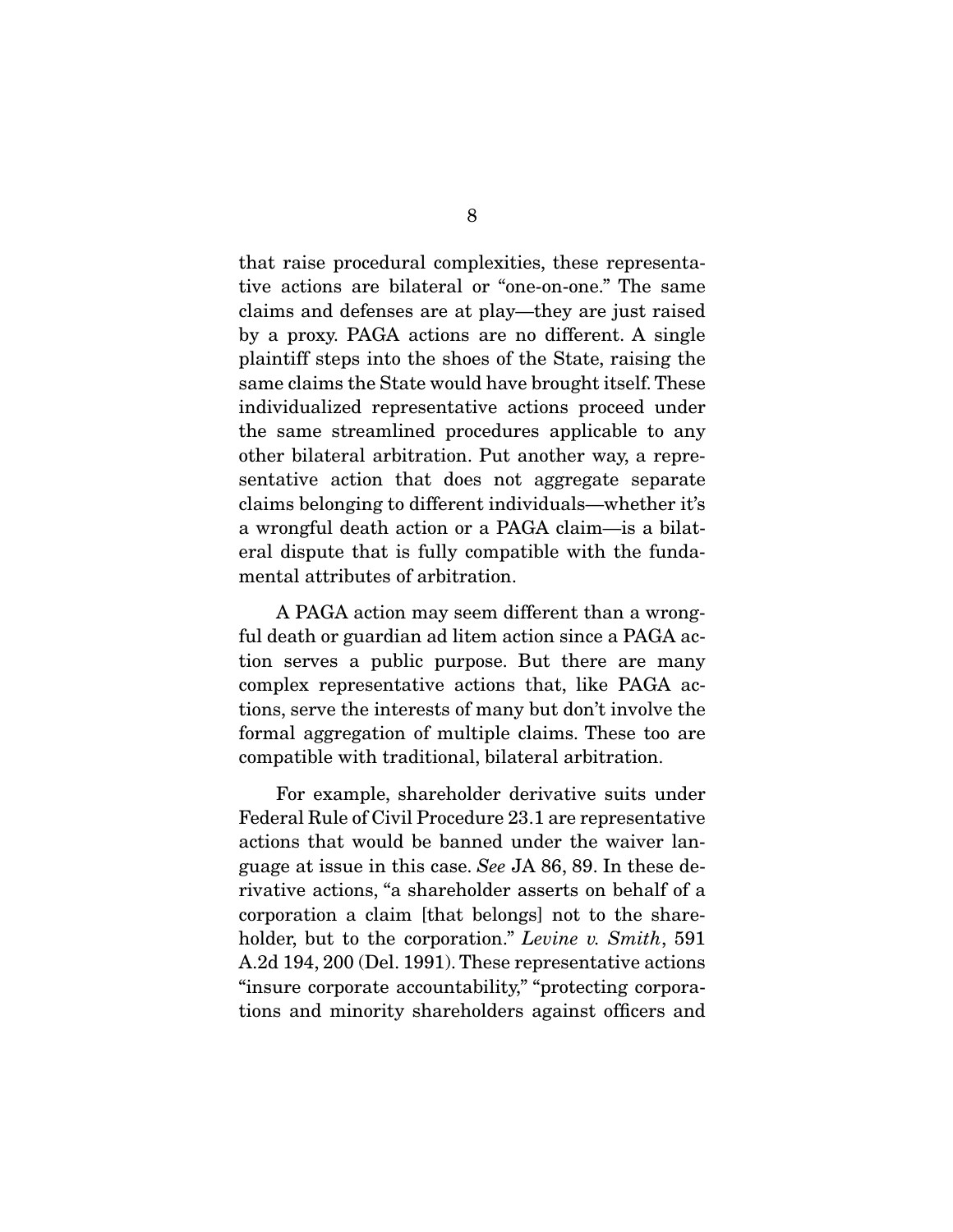that raise procedural complexities, these representative actions are bilateral or "one-on-one." The same claims and defenses are at play—they are just raised by a proxy. PAGA actions are no different. A single plaintiff steps into the shoes of the State, raising the same claims the State would have brought itself. These individualized representative actions proceed under the same streamlined procedures applicable to any other bilateral arbitration. Put another way, a representative action that does not aggregate separate claims belonging to different individuals—whether it's a wrongful death action or a PAGA claim—is a bilateral dispute that is fully compatible with the fundamental attributes of arbitration.

 A PAGA action may seem different than a wrongful death or guardian ad litem action since a PAGA action serves a public purpose. But there are many complex representative actions that, like PAGA actions, serve the interests of many but don't involve the formal aggregation of multiple claims. These too are compatible with traditional, bilateral arbitration.

 For example, shareholder derivative suits under Federal Rule of Civil Procedure 23.1 are representative actions that would be banned under the waiver language at issue in this case. *See* JA 86, 89. In these derivative actions, "a shareholder asserts on behalf of a corporation a claim [that belongs] not to the shareholder, but to the corporation." *Levine v. Smith*, 591 A.2d 194, 200 (Del. 1991). These representative actions "insure corporate accountability," "protecting corporations and minority shareholders against officers and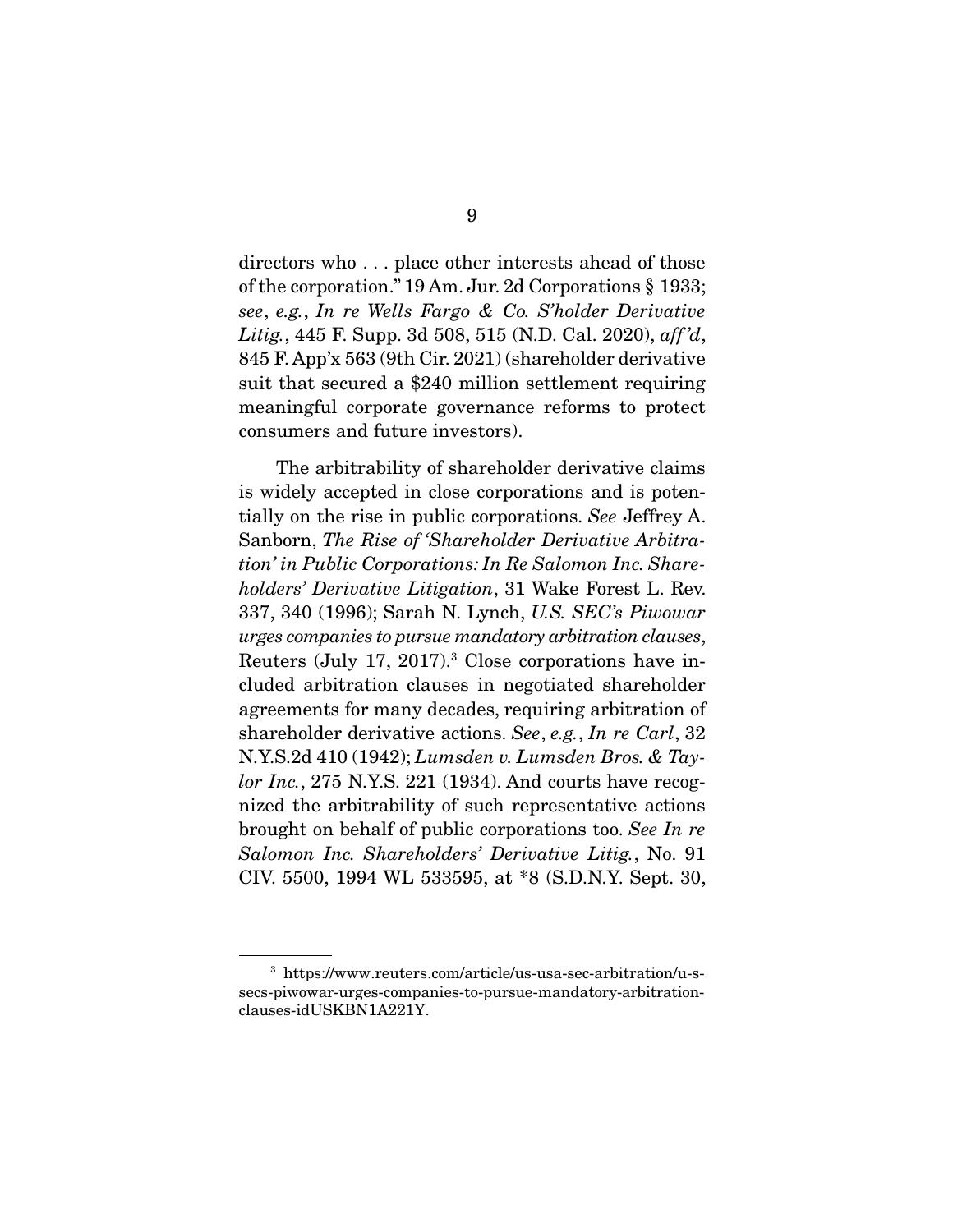directors who . . . place other interests ahead of those of the corporation." 19 Am. Jur. 2d Corporations § 1933; *see*, *e.g.*, *In re Wells Fargo & Co. S'holder Derivative Litig.*, 445 F. Supp. 3d 508, 515 (N.D. Cal. 2020), *aff 'd*, 845 F. App'x 563 (9th Cir. 2021) (shareholder derivative suit that secured a \$240 million settlement requiring meaningful corporate governance reforms to protect consumers and future investors).

 The arbitrability of shareholder derivative claims is widely accepted in close corporations and is potentially on the rise in public corporations. *See* Jeffrey A. Sanborn, *The Rise of 'Shareholder Derivative Arbitration' in Public Corporations: In Re Salomon Inc. Shareholders' Derivative Litigation*, 31 Wake Forest L. Rev. 337, 340 (1996); Sarah N. Lynch, *U.S. SEC's Piwowar urges companies to pursue mandatory arbitration clauses*, Reuters (July 17, 2017).<sup>3</sup> Close corporations have included arbitration clauses in negotiated shareholder agreements for many decades, requiring arbitration of shareholder derivative actions. *See*, *e.g.*, *In re Carl*, 32 N.Y.S.2d 410 (1942); *Lumsden v. Lumsden Bros. & Taylor Inc.*, 275 N.Y.S. 221 (1934). And courts have recognized the arbitrability of such representative actions brought on behalf of public corporations too. *See In re Salomon Inc. Shareholders' Derivative Litig.*, No. 91 CIV. 5500, 1994 WL 533595, at \*8 (S.D.N.Y. Sept. 30,

<sup>3</sup> https://www.reuters.com/article/us-usa-sec-arbitration/u-ssecs-piwowar-urges-companies-to-pursue-mandatory-arbitrationclauses-idUSKBN1A221Y.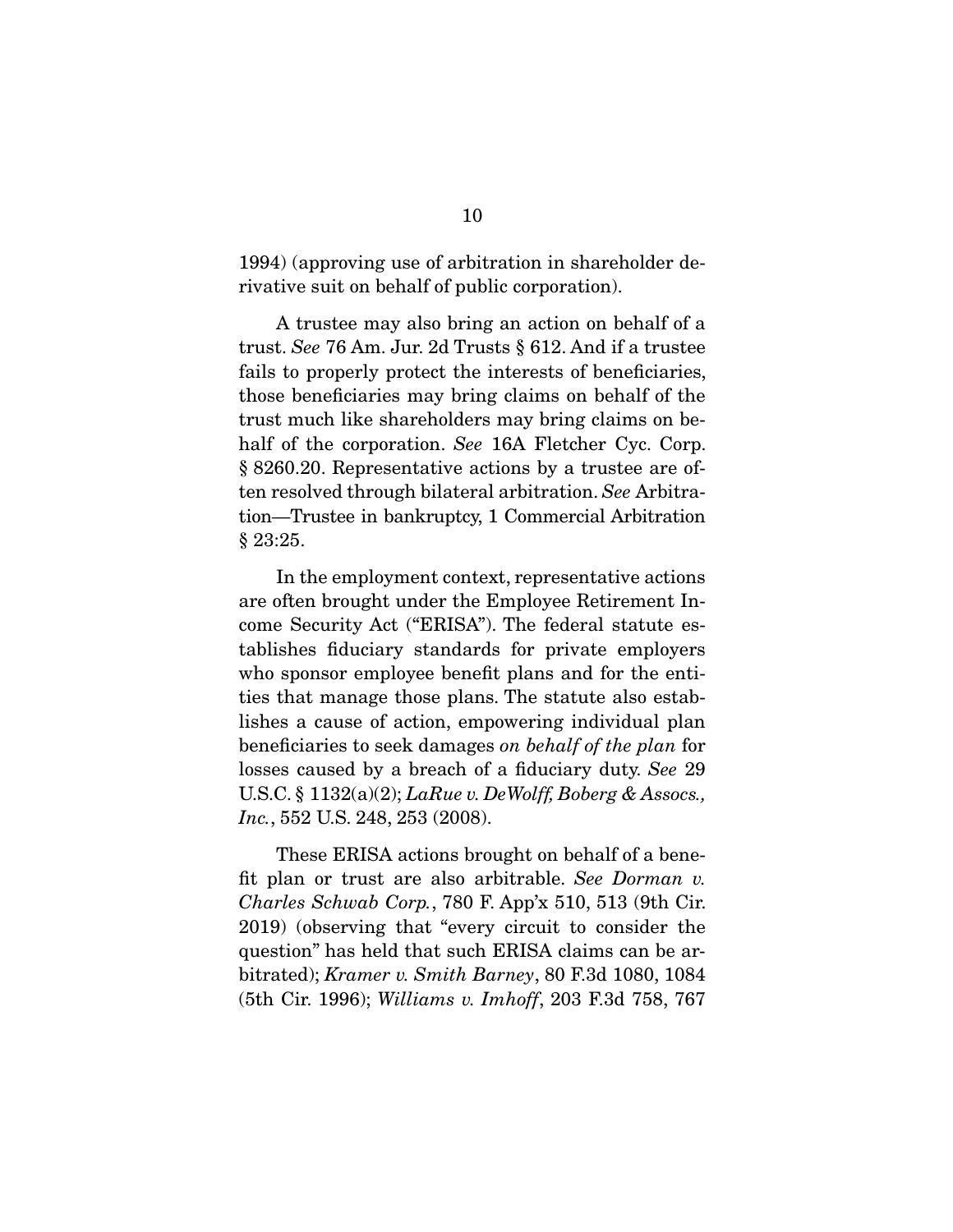1994) (approving use of arbitration in shareholder derivative suit on behalf of public corporation).

 A trustee may also bring an action on behalf of a trust. *See* 76 Am. Jur. 2d Trusts § 612. And if a trustee fails to properly protect the interests of beneficiaries, those beneficiaries may bring claims on behalf of the trust much like shareholders may bring claims on behalf of the corporation. *See* 16A Fletcher Cyc. Corp. § 8260.20. Representative actions by a trustee are often resolved through bilateral arbitration. *See* Arbitration—Trustee in bankruptcy, 1 Commercial Arbitration § 23:25.

 In the employment context, representative actions are often brought under the Employee Retirement Income Security Act ("ERISA"). The federal statute establishes fiduciary standards for private employers who sponsor employee benefit plans and for the entities that manage those plans. The statute also establishes a cause of action, empowering individual plan beneficiaries to seek damages *on behalf of the plan* for losses caused by a breach of a fiduciary duty. *See* 29 U.S.C. § 1132(a)(2); *LaRue v. DeWolff, Boberg & Assocs., Inc.*, 552 U.S. 248, 253 (2008).

 These ERISA actions brought on behalf of a benefit plan or trust are also arbitrable. *See Dorman v. Charles Schwab Corp.*, 780 F. App'x 510, 513 (9th Cir. 2019) (observing that "every circuit to consider the question" has held that such ERISA claims can be arbitrated); *Kramer v. Smith Barney*, 80 F.3d 1080, 1084 (5th Cir. 1996); *Williams v. Imhoff*, 203 F.3d 758, 767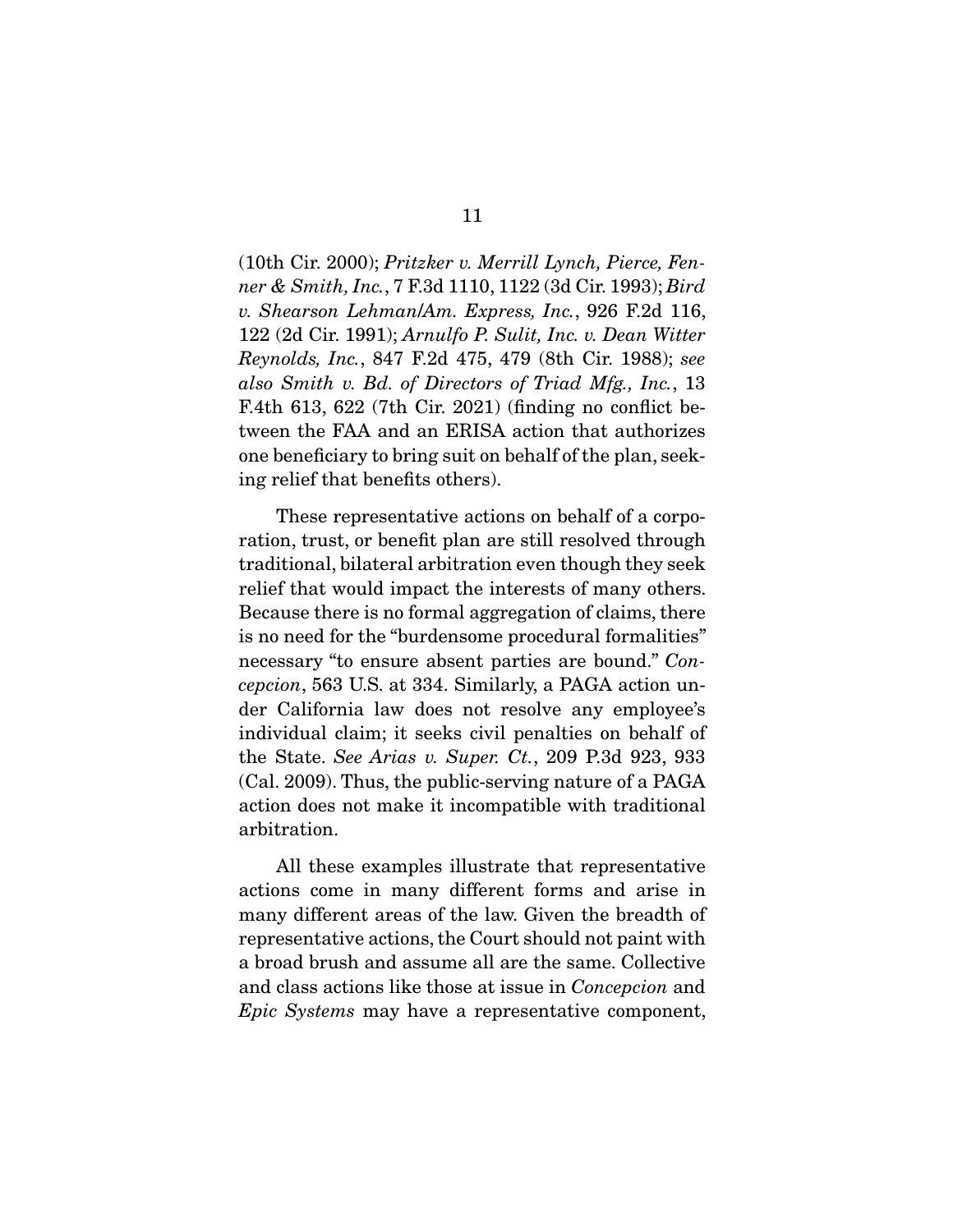(10th Cir. 2000); *Pritzker v. Merrill Lynch, Pierce, Fenner & Smith, Inc.*, 7 F.3d 1110, 1122 (3d Cir. 1993); *Bird v. Shearson Lehman*/*Am. Express, Inc.*, 926 F.2d 116, 122 (2d Cir. 1991); *Arnulfo P. Sulit, Inc. v. Dean Witter Reynolds, Inc.*, 847 F.2d 475, 479 (8th Cir. 1988); *see also Smith v. Bd. of Directors of Triad Mfg., Inc.*, 13 F.4th 613, 622 (7th Cir. 2021) (finding no conflict between the FAA and an ERISA action that authorizes one beneficiary to bring suit on behalf of the plan, seeking relief that benefits others).

 These representative actions on behalf of a corporation, trust, or benefit plan are still resolved through traditional, bilateral arbitration even though they seek relief that would impact the interests of many others. Because there is no formal aggregation of claims, there is no need for the "burdensome procedural formalities" necessary "to ensure absent parties are bound." *Concepcion*, 563 U.S. at 334. Similarly, a PAGA action under California law does not resolve any employee's individual claim; it seeks civil penalties on behalf of the State. *See Arias v. Super. Ct.*, 209 P.3d 923, 933 (Cal. 2009). Thus, the public-serving nature of a PAGA action does not make it incompatible with traditional arbitration.

 All these examples illustrate that representative actions come in many different forms and arise in many different areas of the law. Given the breadth of representative actions, the Court should not paint with a broad brush and assume all are the same. Collective and class actions like those at issue in *Concepcion* and *Epic Systems* may have a representative component,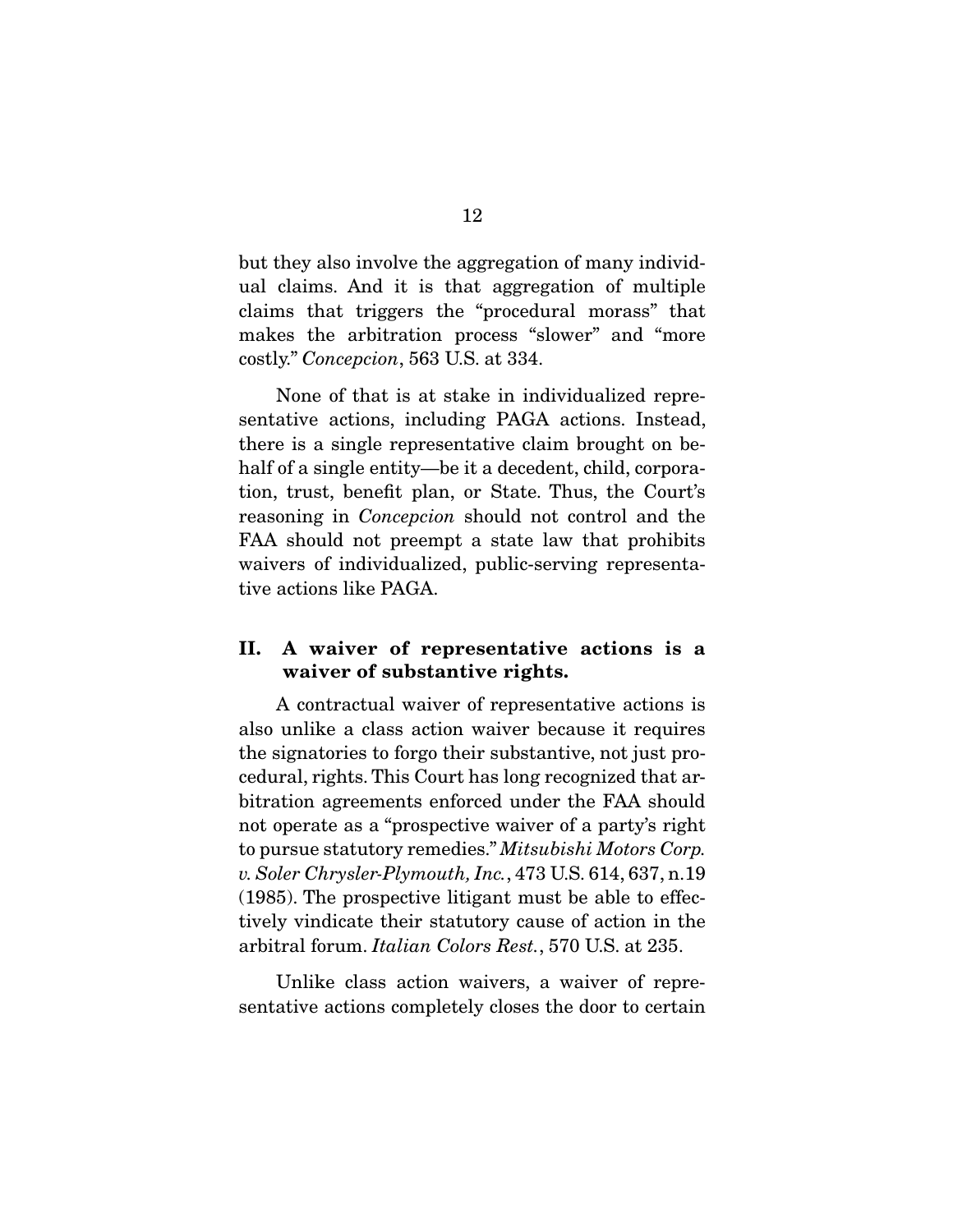but they also involve the aggregation of many individual claims. And it is that aggregation of multiple claims that triggers the "procedural morass" that makes the arbitration process "slower" and "more costly." *Concepcion*, 563 U.S. at 334.

 None of that is at stake in individualized representative actions, including PAGA actions. Instead, there is a single representative claim brought on behalf of a single entity—be it a decedent, child, corporation, trust, benefit plan, or State. Thus, the Court's reasoning in *Concepcion* should not control and the FAA should not preempt a state law that prohibits waivers of individualized, public-serving representative actions like PAGA.

### **II. A waiver of representative actions is a waiver of substantive rights.**

 A contractual waiver of representative actions is also unlike a class action waiver because it requires the signatories to forgo their substantive, not just procedural, rights. This Court has long recognized that arbitration agreements enforced under the FAA should not operate as a "prospective waiver of a party's right to pursue statutory remedies." *Mitsubishi Motors Corp. v. Soler Chrysler-Plymouth, Inc.*, 473 U.S. 614, 637, n.19 (1985). The prospective litigant must be able to effectively vindicate their statutory cause of action in the arbitral forum. *Italian Colors Rest.*, 570 U.S. at 235.

 Unlike class action waivers, a waiver of representative actions completely closes the door to certain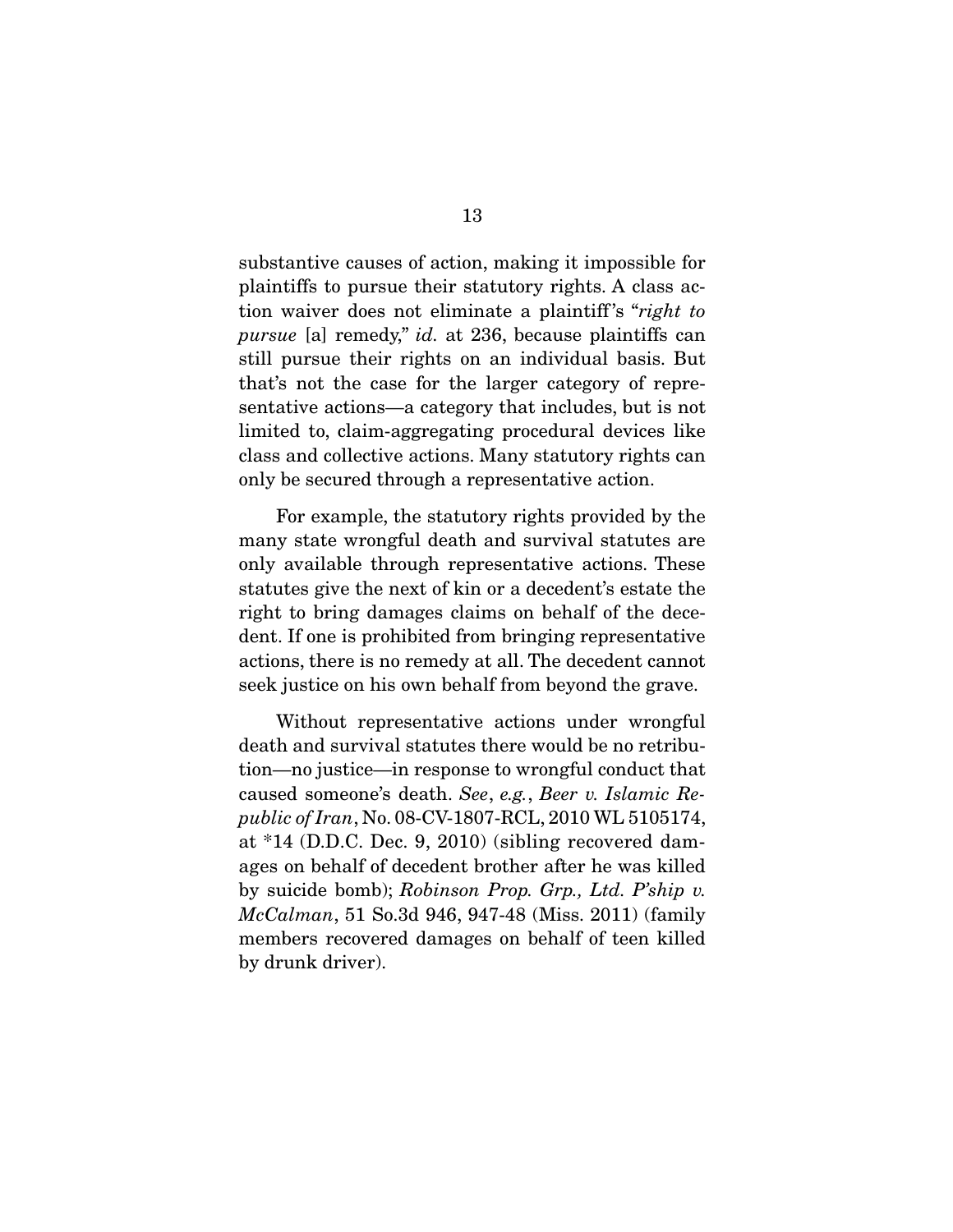substantive causes of action, making it impossible for plaintiffs to pursue their statutory rights. A class action waiver does not eliminate a plaintiff 's "*right to pursue* [a] remedy," *id.* at 236, because plaintiffs can still pursue their rights on an individual basis. But that's not the case for the larger category of representative actions—a category that includes, but is not limited to, claim-aggregating procedural devices like class and collective actions. Many statutory rights can only be secured through a representative action.

 For example, the statutory rights provided by the many state wrongful death and survival statutes are only available through representative actions. These statutes give the next of kin or a decedent's estate the right to bring damages claims on behalf of the decedent. If one is prohibited from bringing representative actions, there is no remedy at all. The decedent cannot seek justice on his own behalf from beyond the grave.

 Without representative actions under wrongful death and survival statutes there would be no retribution—no justice—in response to wrongful conduct that caused someone's death. *See*, *e.g.*, *Beer v. Islamic Republic of Iran*, No. 08-CV-1807-RCL, 2010 WL 5105174, at \*14 (D.D.C. Dec. 9, 2010) (sibling recovered damages on behalf of decedent brother after he was killed by suicide bomb); *Robinson Prop. Grp., Ltd. P'ship v. McCalman*, 51 So.3d 946, 947-48 (Miss. 2011) (family members recovered damages on behalf of teen killed by drunk driver).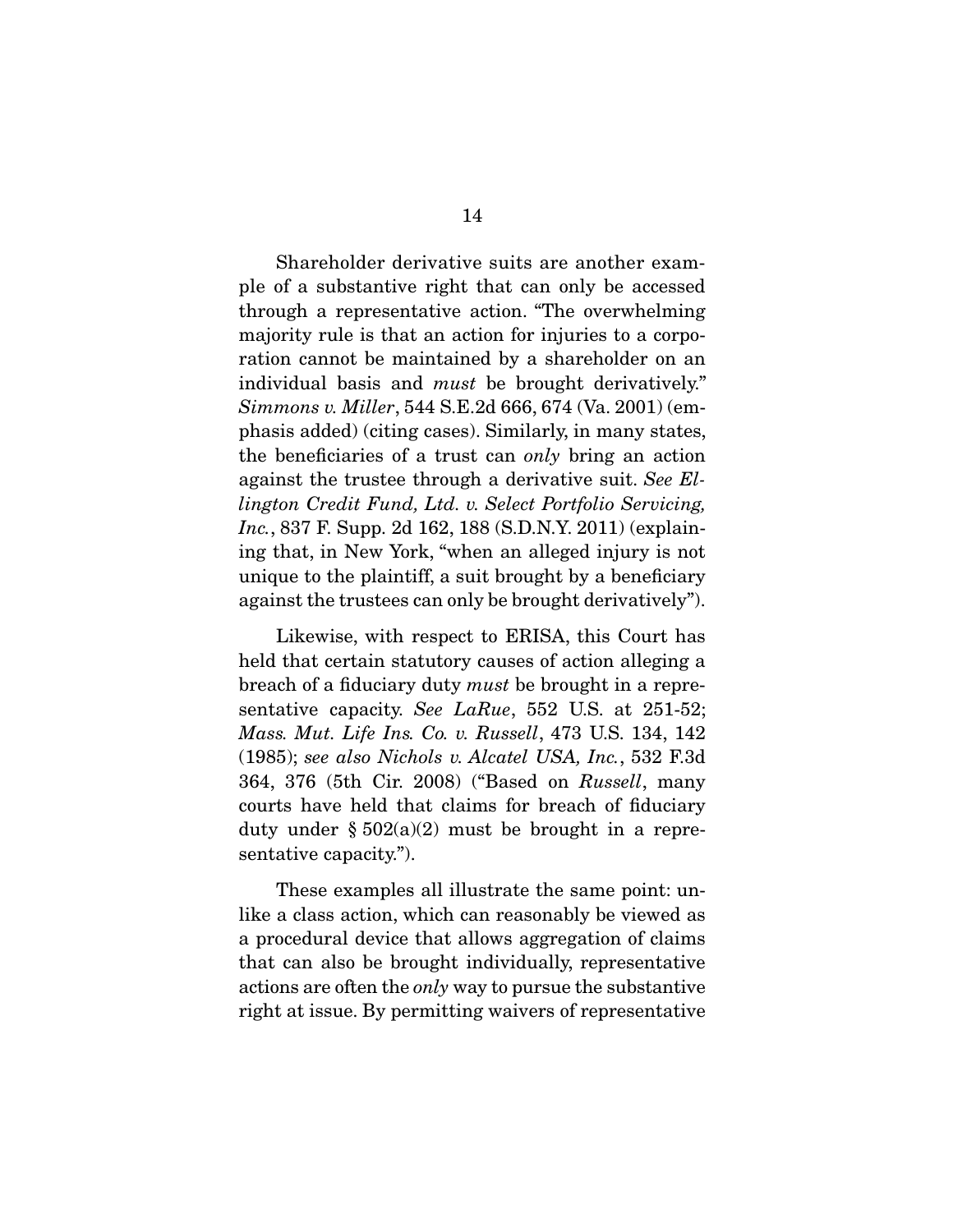Shareholder derivative suits are another example of a substantive right that can only be accessed through a representative action. "The overwhelming majority rule is that an action for injuries to a corporation cannot be maintained by a shareholder on an individual basis and *must* be brought derivatively." *Simmons v. Miller*, 544 S.E.2d 666, 674 (Va. 2001) (emphasis added) (citing cases). Similarly, in many states, the beneficiaries of a trust can *only* bring an action against the trustee through a derivative suit. *See Ellington Credit Fund, Ltd. v. Select Portfolio Servicing, Inc.*, 837 F. Supp. 2d 162, 188 (S.D.N.Y. 2011) (explaining that, in New York, "when an alleged injury is not unique to the plaintiff, a suit brought by a beneficiary against the trustees can only be brought derivatively").

 Likewise, with respect to ERISA, this Court has held that certain statutory causes of action alleging a breach of a fiduciary duty *must* be brought in a representative capacity. *See LaRue*, 552 U.S. at 251-52; *Mass. Mut. Life Ins. Co. v. Russell*, 473 U.S. 134, 142 (1985); *see also Nichols v. Alcatel USA, Inc.*, 532 F.3d 364, 376 (5th Cir. 2008) ("Based on *Russell*, many courts have held that claims for breach of fiduciary duty under  $\S 502(a)(2)$  must be brought in a representative capacity.").

 These examples all illustrate the same point: unlike a class action, which can reasonably be viewed as a procedural device that allows aggregation of claims that can also be brought individually, representative actions are often the *only* way to pursue the substantive right at issue. By permitting waivers of representative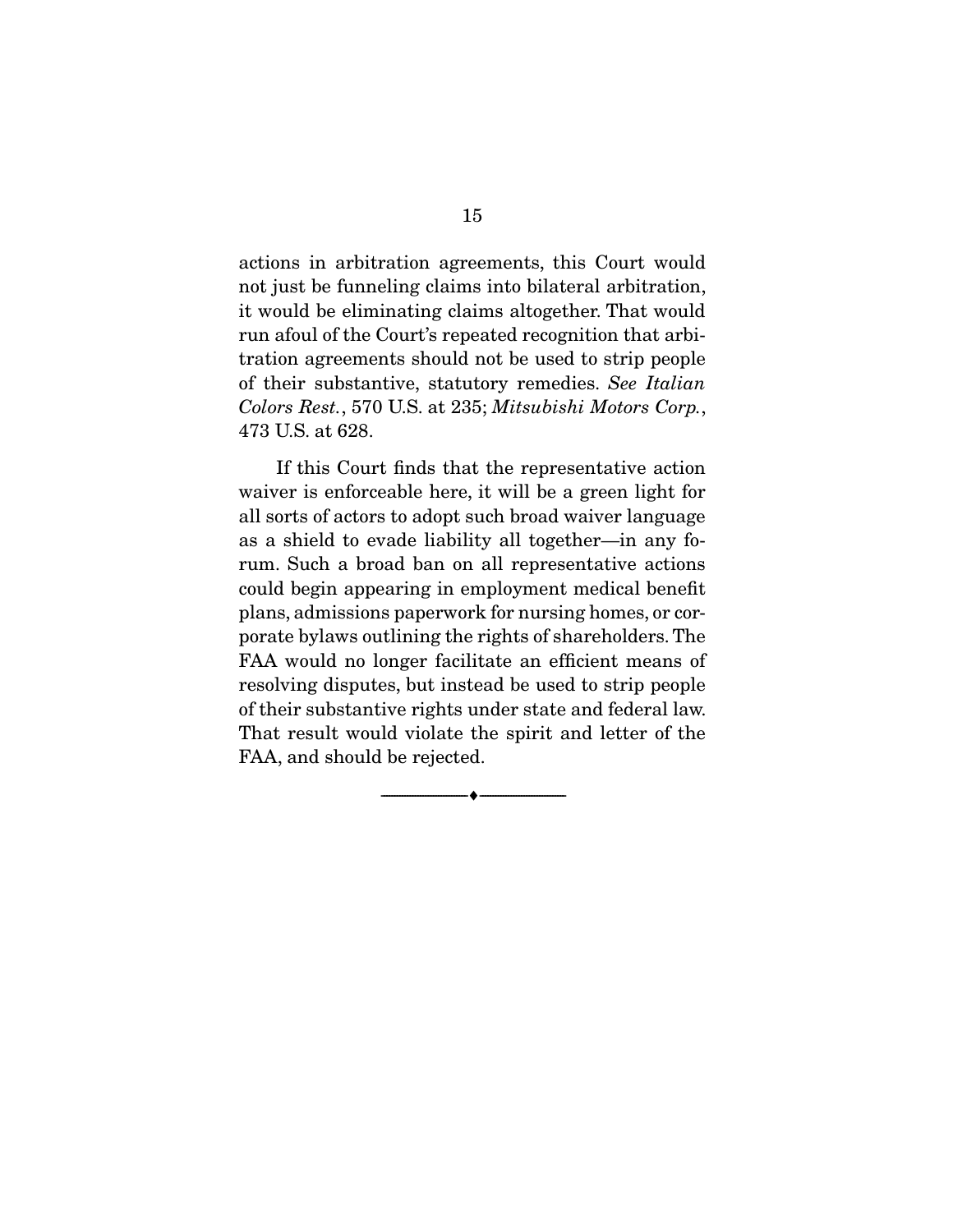actions in arbitration agreements, this Court would not just be funneling claims into bilateral arbitration, it would be eliminating claims altogether. That would run afoul of the Court's repeated recognition that arbitration agreements should not be used to strip people of their substantive, statutory remedies. *See Italian Colors Rest.*, 570 U.S. at 235; *Mitsubishi Motors Corp.*, 473 U.S. at 628.

 If this Court finds that the representative action waiver is enforceable here, it will be a green light for all sorts of actors to adopt such broad waiver language as a shield to evade liability all together—in any forum. Such a broad ban on all representative actions could begin appearing in employment medical benefit plans, admissions paperwork for nursing homes, or corporate bylaws outlining the rights of shareholders. The FAA would no longer facilitate an efficient means of resolving disputes, but instead be used to strip people of their substantive rights under state and federal law. That result would violate the spirit and letter of the FAA, and should be rejected.

--------------------------------- ♦ ---------------------------------